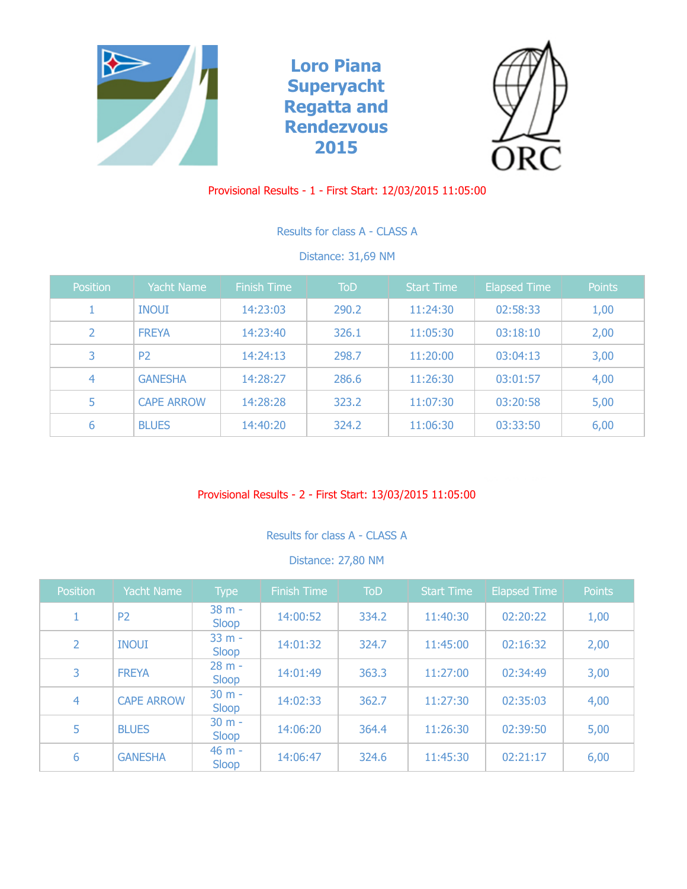





# Provisional Results - 1 - First Start: 12/03/2015 11:05:00

Results for class A - CLASS A

Distance: 31,69 NM

| Position | <b>Yacht Name</b> | Finish Time | <b>ToD</b> | <b>Start Time</b> | <b>Elapsed Time</b> | <b>Points</b> |
|----------|-------------------|-------------|------------|-------------------|---------------------|---------------|
|          | <b>INOUI</b>      | 14:23:03    | 290.2      | 11:24:30          | 02:58:33            | 1,00          |
| 2        | <b>FREYA</b>      | 14:23:40    | 326.1      | 11:05:30          | 03:18:10            | 2,00          |
| 3        | P <sub>2</sub>    | 14:24:13    | 298.7      | 11:20:00          | 03:04:13            | 3,00          |
| 4        | <b>GANESHA</b>    | 14:28:27    | 286.6      | 11:26:30          | 03:01:57            | 4,00          |
| 5        | <b>CAPE ARROW</b> | 14:28:28    | 323.2      | 11:07:30          | 03:20:58            | 5,00          |
| 6        | <b>BLUES</b>      | 14:40:20    | 324.2      | 11:06:30          | 03:33:50            | 6,00          |

## Provisional Results - 2 - First Start: 13/03/2015 11:05:00

Results for class A - CLASS A

### Distance: 27,80 NM

| Position       | Yacht Name        | <b>Type</b>       | <b>Finish Time</b> | ToD   | <b>Start Time</b> | <b>Elapsed Time</b> | <b>Points</b> |
|----------------|-------------------|-------------------|--------------------|-------|-------------------|---------------------|---------------|
| 1              | P <sub>2</sub>    | 38 m -<br>Sloop   | 14:00:52           | 334.2 | 11:40:30          | 02:20:22            | 1,00          |
| 2              | <b>INOUI</b>      | $33 m -$<br>Sloop | 14:01:32           | 324.7 | 11:45:00          | 02:16:32            | 2,00          |
| 3              | <b>FREYA</b>      | $28 m -$<br>Sloop | 14:01:49           | 363.3 | 11:27:00          | 02:34:49            | 3,00          |
| $\overline{4}$ | <b>CAPE ARROW</b> | $30 m -$<br>Sloop | 14:02:33           | 362.7 | 11:27:30          | 02:35:03            | 4,00          |
| 5              | <b>BLUES</b>      | $30 m -$<br>Sloop | 14:06:20           | 364.4 | 11:26:30          | 02:39:50            | 5,00          |
| 6              | <b>GANESHA</b>    | $46 m -$<br>Sloop | 14:06:47           | 324.6 | 11:45:30          | 02:21:17            | 6,00          |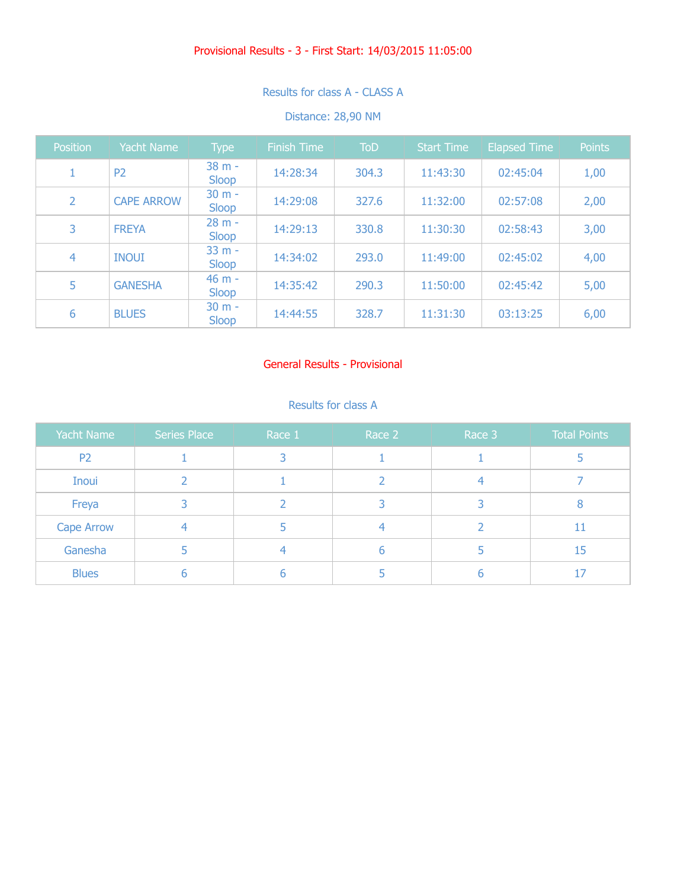# Provisional Results - 3 - First Start: 14/03/2015 11:05:00

# Results for class A - CLASS A

### Distance: 28,90 NM

| Position | <b>Yacht Name</b> | <b>Type</b>       | <b>Finish Time</b> | <b>ToD</b> | <b>Start Time</b> | <b>Elapsed Time</b> | <b>Points</b> |
|----------|-------------------|-------------------|--------------------|------------|-------------------|---------------------|---------------|
| 1        | P <sub>2</sub>    | 38 m -<br>Sloop   | 14:28:34           | 304.3      | 11:43:30          | 02:45:04            | 1,00          |
| 2        | <b>CAPE ARROW</b> | $30 m -$<br>Sloop | 14:29:08           | 327.6      | 11:32:00          | 02:57:08            | 2,00          |
| 3        | <b>FREYA</b>      | $28 m -$<br>Sloop | 14:29:13           | 330.8      | 11:30:30          | 02:58:43            | 3,00          |
| 4        | <b>INOUI</b>      | $33 m -$<br>Sloop | 14:34:02           | 293.0      | 11:49:00          | 02:45:02            | 4,00          |
| 5        | <b>GANESHA</b>    | $46 m -$<br>Sloop | 14:35:42           | 290.3      | 11:50:00          | 02:45:42            | 5,00          |
| 6        | <b>BLUES</b>      | $30 m -$<br>Sloop | 14:44:55           | 328.7      | 11:31:30          | 03:13:25            | 6,00          |

## General Results - Provisional

## Results for class A

| Yacht Name        | <b>Series Place</b> | Race 1 | Race 2 | Race 3 | <b>Total Points</b> |
|-------------------|---------------------|--------|--------|--------|---------------------|
| P <sub>2</sub>    |                     |        |        |        |                     |
| <b>Inoui</b>      |                     |        |        |        |                     |
| Freya             |                     |        |        |        |                     |
| <b>Cape Arrow</b> |                     |        |        |        | 11                  |
| Ganesha           |                     |        | h      |        | 15                  |
| <b>Blues</b>      | h                   |        |        |        | 17                  |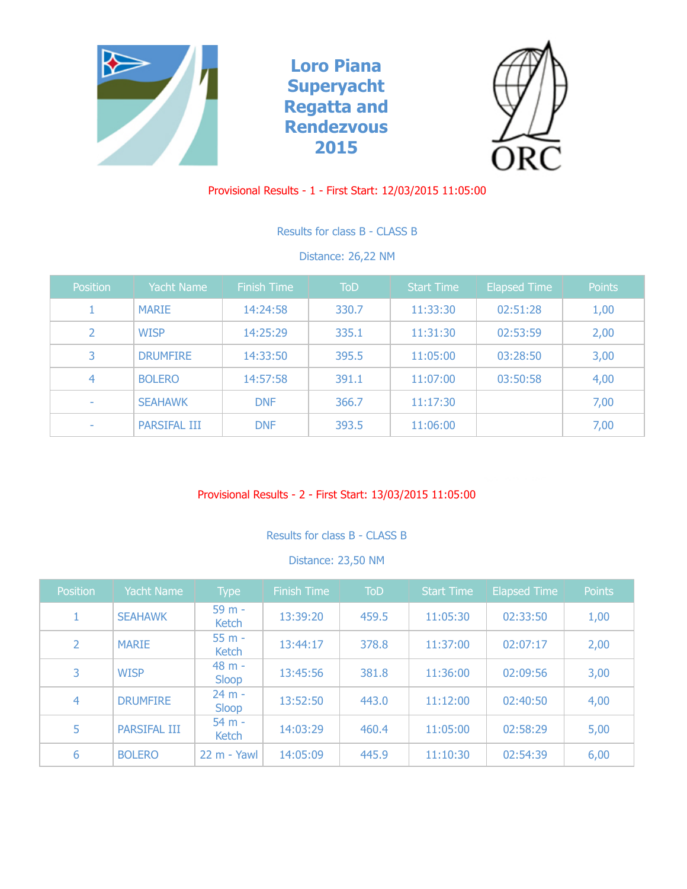





# Provisional Results - 1 - First Start: 12/03/2015 11:05:00

Results for class B - CLASS B

Distance: 26,22 NM

| <b>Position</b>          | <b>Yacht Name</b>   | Finish Time | ToD   | <b>Start Time</b> | <b>Elapsed Time</b> | <b>Points</b> |
|--------------------------|---------------------|-------------|-------|-------------------|---------------------|---------------|
|                          | <b>MARIE</b>        | 14:24:58    | 330.7 | 11:33:30          | 02:51:28            | 1,00          |
| 2                        | <b>WISP</b>         | 14:25:29    | 335.1 | 11:31:30          | 02:53:59            | 2,00          |
| 3                        | <b>DRUMFIRE</b>     | 14:33:50    | 395.5 | 11:05:00          | 03:28:50            | 3,00          |
| 4                        | <b>BOLERO</b>       | 14:57:58    | 391.1 | 11:07:00          | 03:50:58            | 4,00          |
| $\overline{\phantom{a}}$ | <b>SEAHAWK</b>      | <b>DNF</b>  | 366.7 | 11:17:30          |                     | 7,00          |
| $\overline{\phantom{a}}$ | <b>PARSIFAL III</b> | <b>DNF</b>  | 393.5 | 11:06:00          |                     | 7,00          |

## Provisional Results - 2 - First Start: 13/03/2015 11:05:00

Results for class B - CLASS B

### Distance: 23,50 NM

| <b>Position</b> | <b>Yacht Name</b>   | <b>Type</b>       | <b>Finish Time</b> | <b>ToD</b> | <b>Start Time</b> | <b>Elapsed Time</b> | <b>Points</b> |
|-----------------|---------------------|-------------------|--------------------|------------|-------------------|---------------------|---------------|
|                 | <b>SEAHAWK</b>      | 59 m -<br>Ketch   | 13:39:20           | 459.5      | 11:05:30          | 02:33:50            | 1,00          |
| $\overline{2}$  | <b>MARIE</b>        | $55 m -$<br>Ketch | 13:44:17           | 378.8      | 11:37:00          | 02:07:17            | 2,00          |
| 3               | <b>WISP</b>         | 48 m -<br>Sloop   | 13:45:56           | 381.8      | 11:36:00          | 02:09:56            | 3,00          |
| 4               | <b>DRUMFIRE</b>     | $24 m -$<br>Sloop | 13:52:50           | 443.0      | 11:12:00          | 02:40:50            | 4,00          |
| 5               | <b>PARSIFAL III</b> | $54 m -$<br>Ketch | 14:03:29           | 460.4      | 11:05:00          | 02:58:29            | 5,00          |
| 6               | <b>BOLERO</b>       | $22 m - Y$ awl    | 14:05:09           | 445.9      | 11:10:30          | 02:54:39            | 6,00          |